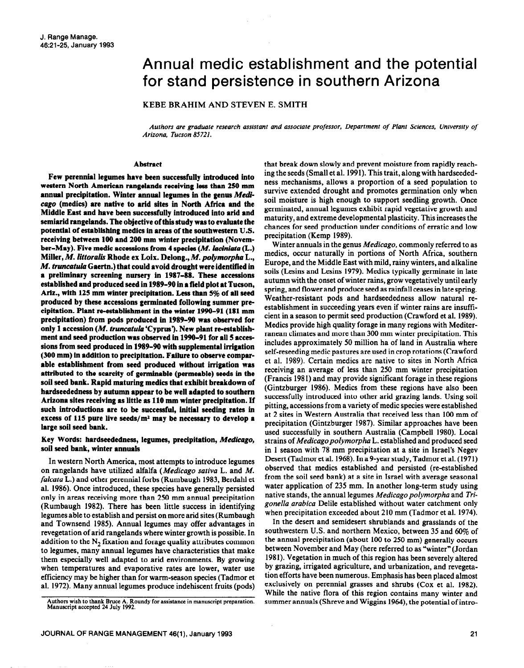# Annual medic establishment and the potential for stand persistence in southern Arizona

KEBE BRAHIM AND STEVEN E. SMITH

*Authors are graduate research assistant and associate professor, Department of Plant Sciences, University of Arizona, Tucson 85721.* 

### **Abstract**

Few perennial legumes have been successfully introduced into western North American rangelands receiving less than 250 mm annual precipitation. Winter annual legumes in the genus Medi**cage (medics) are native to arid sites in North** Africa and the Middle East and **have been successfully introduced into arid and semiarid rangelands. The objective of this study was to evaluate the potential of establishing medics in areas of the southwestern U.S. receiving between 100 and 200 mm winter precipitation (November-May). Five medic accessions from 4 species (M.** laciniata **(L.) Miller,** *M. littoralis* Rhode ex Loix. Delong., M. *polymorpho* L., *M. truncutula* **Gaertn.) that could avoid drought were identified in a preliminary screening nursery in 1987-88. These accessions established and produced seed in 1989-90 in a field plot at Tucson, Ariz., with 125 mm winter precipitation. Less than 5% of all seed produced by these accessions germinated following summer precipitation. Plant re-establishment in the winter 1990-91(181 mm precipitation) from pods produced in 1989-90 was observed for only 1 accession** *(M. truncutulo* 'Cyprus'). New plant re-establishment and seed produetion was observed in 1990-91 for all 5 accessions from seed produced **in 1989-90 with supplemental irrigation (300 mm) in addition to precipitation. Failure to observe comparable establishment from seed produced without irrigation was attributed to the scarcity of germinable (permeable) seeds in the soil seed bank. Rapid maturing medics that exhibit breakdown of hardseededness by autumn appear to be well adapted to southern Arizona sites receiving as little as 110 mm winter precipitation. If such introductions are to be successful, initial seeding rates in**  excess of 115 pure live seeds/m<sup>2</sup> may be necessary to develop a **large soil seed bank.** 

## **Key Words: hardseededness, legumes, precipitation,** *Medicago,*  soil seed bank, winter annuals

In western North America, most attempts to introduce legumes on rangelands have utilized alfalfa *(Medicago sativa* L. and *M. falcata* L.) and other perennial forbs (Rumbaugh 1983, Berdahl et al. 1986). Once introduced, these species have generally persisted only in areas receiving more than **250** mm annual precipitation (Rumbaugh 1982). There has been little success in identifying legumes able to establish and persist on more arid sites (Rumbaugh and Townsend 1985). Annual legumes may offer advantages in revegetation of arid rangelands where winter growth is possible. In addition to the  $N<sub>2</sub>$  fixation and forage quality attributes common to legumes, many annual legumes have characteristics that make them especially well adapted to arid environments. By growing when temperatures and evaporative rates are lower, water use efficiency may be higher than for warm-season species (Tadmor et al. 1972). Many annual legumes produce indehiscent fruits (pods) that break down slowly and prevent moisture from rapidly reaching the seeds (Small et al. 1991). This trait, along with hardseededness mechanisms, allows a proportion of a seed population to survive extended drought and promotes germination only when soil moisture is high enough to support seedling growth. Once germinated, annual legumes exhibit rapid vegetative growth and maturity, and extreme developmental plasticity. This increases the chances for seed production under conditions of erratic and low precipitation (Kemp 1989).

Winter annuals in the genus *Medicago,* commonly referred to as medics, occur naturally in portions of North Africa, southern Europe, and the Middle East with mild, rainy winters, and alkaline soils (Lesins and Lesins 1979). Medics typically germinate in late autumn with the onset of winter rains, grow vegetatively until early spring, and flower and produce seed as rainfall ceases in late spring. Weather-resistant pods and hardseededness allow natural reestablishment in succeeding years even if winter rains are insufficient in a season to permit seed production (Crawford et al. 1989). Medics provide high quality forage in many regions with Mediterranean climates and more than 300 mm winter precipitation. This includes approximately 50 million ha of land in Australia where self-reseeding medic pastures are used in crop rotations (Crawford et al. 1989). Certain medics are native to sites in North Africa receiving an average of less than 250 mm winter precipitation (Francis 198 1) and may provide significant forage in these regions (Gintzburger 1986). Medics from these regions have also been successfully introduced into other arid grazing lands. Using soil pitting, accessions from a variety of medic species were established at 2 sites in Western Australia that received less than 100 mm of precipitation (Gintzburger 1987). Similar approaches have been used successfully in southern Australia (Campbell 1980). Local strains of *Medicagopolymorpha* L. established and produced seed in 1 season with 78 mm precipitation at a site in Israel's Negev Desert (Tadmor et al. 1968). In a 9-year study, Tadmor et al. (1971) observed that medics established and persisted (re-established from the soil seed bank) at a site in Israel with average seasonal water application of 235 mm. In another long-term study using native stands, the annual legumes *Medicagopolymorpha* and *Trigonella arabica* Delile established without water catchment only when precipitation exceeded about 210 mm (Tadmor et al. 1974).

In the desert and semidesert shrublands and grasslands of the southwestern U.S. and northern Mexico, between 35 and 60% of the annual precipitation (about 100 to 250 mm) **generally occurs**  between November and May (here referred to as "winter" (Jordan 1981). Vegetation in much of this region has been severely altered by grazing, irrigated agriculture, and urbanization, and revegetation efforts have been numerous. Emphasis has been placed almost exclusively on perennial grasses and shrubs (Cox **et** al. 1982). While the native flora of this region contains many winter and summer annuals (Shreve and Wiggins 1964), the potential of intro-

Authors wish to thank Bruce A. Roundy for assistance in manuscript preparation. **Manuscript accepted 24 July 1992.**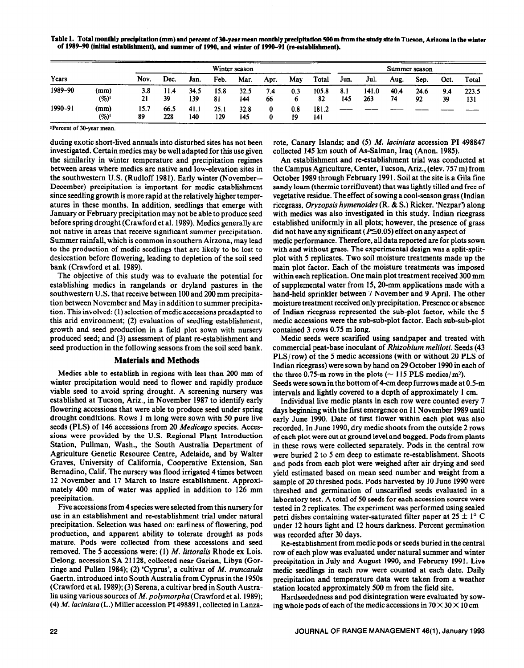**Table 1. Total monthly precipitation (mm) and percent of SO-year mean monthly precipitation 500 m from the study site in Tucson, Arizona in the winter**  of 1989-90 (initial establishment), and summer of 1990, and winter of 1990-91 (re-establishment).

|         |                  | Winter season |             |             |             |             |           |           | Summer season |            |              |            |            |           |              |
|---------|------------------|---------------|-------------|-------------|-------------|-------------|-----------|-----------|---------------|------------|--------------|------------|------------|-----------|--------------|
| Years   | Nov.             | Dec.          | Jan.        | Feb.        | Mar.        | Apr.        | May       | Total     | Jun.          | Jul.       | Aug.         | Sep.       | Oct.       | Total     |              |
| 1989-90 | (mm)<br>$(\%)^1$ | 3.8<br>21     | 11.4<br>39  | 34.5<br>139 | 15.8<br>81  | 32.5<br>144 | 7.4<br>66 | 0.3<br>o  | 105.8<br>82   | 8.1<br>145 | 141.0<br>263 | 40.4<br>74 | 24.6<br>92 | 9.4<br>39 | 223.5<br>131 |
| 1990-91 | (mm)<br>$(\%)^1$ | 15.7<br>89    | 66.5<br>228 | 41.1<br>140 | 25.1<br>129 | 32.8<br>145 | 0         | 0.8<br>19 | 181.2<br>141  |            |              |            |            |           |              |

**lPercent of 30-year mean.** 

ducing exotic short-lived annuals into disturbed sites has not been investigated. Certain medics may be well adapted for this use given the similarity in winter temperature and precipitation regimes between areas where medics are native and low-elevation sites in the southwestern U.S. (Rudloff 1981). Early winter (November-- December) precipitation is important for medic establishment since seedling growth is more rapid at the relatively higher temperatures in these months. In addition, seedlings that emerge with January or February precipitation may not be able to produce seed before spring drought (Crawford et al. 1989). Medics generally are not native in areas that receive significant summer precipitation. Summer rainfall, which is common in southern Airzona, may lead to the production of medic seedlings that are likely to be lost to desiccation before flowering, leading to depletion of the soil seed bank (Crawford et al. 1989).

The objective of this study was to evaluate the potential for establishing medics in rangelands or dryland pastures in the southwestern U.S. that receive between 100 and 200 mm precipitation between November and May in addition to summer precipitation. This involved: (1) selection of medic accessions preadapted to this arid environment; (2) evaluation of seedling establishment, growth and seed production in a field plot sown with nursery produced seed; and (3) assessment of plant re-establishment and seed production in the following seasons from the soil seed bank.

## **Materials and Methods**

Medics able to establish in regions with less than 200 mm of winter precipitation would need to flower and rapidly produce viable seed to avoid spring drought. A screening nursery was established at Tucson, Ariz., in November 1987 to identify early flowering accessions that were able to produce seed under spring drought conditions. Rows 1 m long were sown with 50 pure live seeds (PLS) of 146 accessions from 20 *Medicugo* species. Accessions were provided by the U.S. Regional Plant Introduction Station, Pullman, Wash., the South Australia Department of Agriculture Genetic Resource Centre, Adelaide, and by Walter Graves, University of California, Cooperative Extension, San Bernadino, Calif. The nursery was flood irrigated 4 times between 12 November and 17 March to insure establishment. Approximately 400 mm of water was applied in addition to 126 mm precipitation.

Five accessions from 4 species were selected from this nursery for use in an establishment and re-establishment trial under natural precipitation. Selection was based on: earliness of flowering, pod production, and apparent ability to tolerate drought as pods mature. Pods were collected from these accessions and seed removed. The 5 accessions were: (1) M. *littoralis* Rhode ex Lois. Delong. accession SA 21128, collected near Garian, Libya (Gorringe and Pullen 1984); (2) 'Cyprus', a cultivar of *M. truncutula*  Gaertn. introduced into South Australia from Cyprus in the 1950s (Crawford et al. 1989); (3) Serena, a cultivar bred in South Australia using various sources of *M. polymorpha* (Crawford et al. 1989); (4) M. *luciniatu(L.)* Miller accession PI 498891, collected in Lanzarote, Canary Islands; and (5) M. *laciniata* accession PI 498847 collected 145 km south of As-Salman, Iraq (Anon. 1985).

An establishment and re-establishment trial was conducted at the Campus Agriculture, Center, Tucson, Ariz., (elev. 757 m) from October 1989 through February 1991. Soil at the site is a Gila fine sandy loam (thermic torrifluvent) that was lightly tilled and free of vegetative residue. The effect of sowing a cool-season grass (Indian ricegrass, *Oryzopsis hymenoides* (R. & S.) Ricker. 'Nezpar? along with medics was also investigated in this study. Indian ricegrass established uniformly in all plots; however, the presence of grass did not have any significant ( $P \le 0.05$ ) effect on any aspect of medic performance. Therefore, all data reported are for plots sown with and without grass. The experimental design was a split-splitplot with 5 replicates. Two soil moisture treatments made up the main plot factor. Each of the moisture treatments was imposed within each replication. One main plot treatment received 300 mm of supplemental water from I5,20-mm applications made with a hand-held sprinkler between 7 November and 9 April. The other moisture treatment received only precipitation. Presence or absence of Indian ricegrass represented the sub-plot factor, while the 5 medic accessions were the sub-sub-plot factor. Each sub-sub-plot

contained 3 rows 0.75 m long. Medic seeds were scarified using sandpaper and treated with commercial peat-base inoculant of *Rhizobium meliloti.* Seeds (43 PLS/row) of the 5 medic accessions (with or without 20 PLS of Indian ricegrass) were sown by hand on 29 October 1990 in each of the three 0.75-m rows in the plots ( $\sim$  115 PLS medics/m<sup>2</sup>). Seeds were sown in the bottom of 4-cm deep furrows made at 0.5-m intervals and lightly covered to a depth of approximately 1 cm.

Individual live medic plants in each row were counted every 7 days beginning **with** the first emergence on 11 November 1989 until early June 1990. Date of first flower within each plot was also recorded. In June 1990, dry medic shoots from the outside 2 rows of each plot were cut at ground level and bagged. Pods from plants in these rows were collected separately. Pods in the central row were buried 2 to 5 cm deep to estimate re-establishment. Shoots and pods from each plot were weighed after air drying and seed yield estimated based on mean seed number and weight from a sample of 20 threshed pods. Pods harvested by 10 June 1990 were threshed and germination of unscarified seeds evaluated in a laboratory test. A total of 50 seeds for each accession source were tested in 2 replicates. The experiment was performed using sealed petri dishes containing water-saturated filter paper at  $25 \pm 1^{\circ}$  C under 12 hours light and 12 hours darkness. Percent germination was recorded after 30 days.

Re-establishment from medic pods or seeds buried in the central row of each plow was evaluated under natural summer and winter precipitation in July and August 1990, and Februray 1991. Live medic seedlings in each row were counted at each date. Daily precipitation and temperature data were taken from a weather station located approximately 500 m from the field site.

Hardseededness and pod disintegration were evaluated by sowing whole pods of each of the medic accessions in  $70 \times 30 \times 10$  cm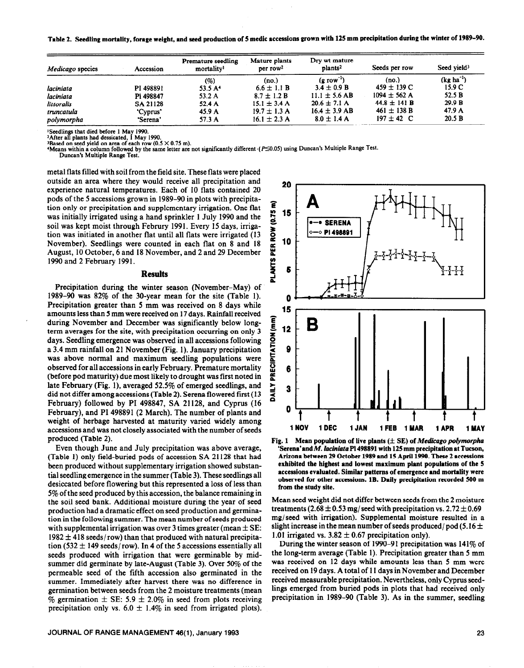**Table 2. Seedling mortality, forage weight, and seed production of 5 medic accessions grown with 125 mm precipitation during the winter of 1989-90.** 

| Medicago species | Accession | Premature seedling<br>mortality <sup>1</sup> | Mature plants<br>per row <sup>2</sup> | Dry wt mature<br>plants <sup>2</sup> | Seeds per row    | Seed vield <sup>3</sup> |  |
|------------------|-----------|----------------------------------------------|---------------------------------------|--------------------------------------|------------------|-------------------------|--|
|                  |           | (%)                                          | (no.)                                 | $(\mathbf{g} \text{ row}^{-1})$      | (no.)            | $(kg ha^{-1})$          |  |
| laciniata        | PI 498891 | 53.5 A <sup>4</sup>                          | $6.6 \pm 1.1 B$                       | $3.4 \pm 0.9 B$                      | $459 \pm 139$ C  | 15.9 C                  |  |
| laciniata        | PI 498847 | 53.2 A                                       | $8.7 \pm 1.2 B$                       | $11.1 \pm 5.6$ AB                    | $1094 \pm 562$ A | 52.5 B                  |  |
| littoralis       | SA 21128  | 52.4A                                        | $15.1 \pm 3.4$ A                      | $20.6 \pm 7.1$ A                     | $44.8 \pm 141 B$ | 29.9 B                  |  |
| truncatula       | 'Cyprus'  | 45.9 A                                       | $19.7 \pm 1.3$ A                      | $16.4 \pm 3.9$ AB                    | $461 \pm 138$ B  | 47.9 A                  |  |
| polymorpha       | 'Serena'  | 57.3 A                                       | $16.1 \pm 2.3$ A                      | $8.0 \pm 1.4$ A                      | $197 \pm 42$ C   | 20.5 B                  |  |

**'Seedlings that died before 1 May 1990.** 

**2After all plants had dessicated, I May 1990.** 

<sup>3</sup>Based on seed yield on area of each row (0.5 × 0.75 m).<br><sup>4</sup>Means within a column followed by the same letter are not significantly different (*P*≤0.05) using Duncan's Multiple Range Test.

**Duncan's Multiple Range Test:** 

metal flats filled with soil from the field site. These flats were placed outside an area where they would receive all precipitation and experience natural temperatures. Each of 10 flats contained 20 pods of the 5 accessions grown in 1989-90 in plots with precipitation only or precipitation and supplementary irrigation. One flat was initially irrigated using a hand sprinkler 1 July 1990 and the soil was kept moist through Februry 1991. Every 15 days, irrigation was initiated in another flat until all flats were irrigated (13 November). Seedlings were counted in each flat on 8 and 18 August, 10 October, 6 and 18 November, and 2 and 29 December 1990 and 2 February 1991.

#### **Results**

Precipitation during the winter season (November-May) of 1989-90 was 82% of the 30-year mean for the site (Table 1). Precipitation greater than 5 mm was received on 8 days while amounts less than 5 mm were received on 17 days. Rainfall received during November and December was significantly below longterm averages for the site, with precipitation occurring on only 3 days. Seedling emergence was observed in all accessions following a 3.4 mm rainfall on 21 November (Fig. 1). January precipitation was above normal and maximum seedling populations were observed for all accessions in early February. Premature mortality (before pod maturity) due most likely to drought was first noted in late February (Fig. l), averaged 52.5% of emerged seedlings, and did not differ among accessions (Table 2). Serena flowered first (13 February) followed by PI 498847, SA 21128, and Cyprus (16 February), and PI 498891 (2 March). The number of plants and weight of herbage harvested at maturity varied widely among accessions and was not closely associated with the number of seeds produced (Table 2).

Even though June and July precipitation was above average, (Table 1) only field-buried pods of accession SA 21128 that had been produced without supplementary irrigation showed substantial seedling emergence in the summer (Table 3). These seedlings all desiccated before flowering but this represented a loss of less than 5% of the seed produced by this accession, the balance remaining in the soil seed bank. Additional moisture during the year of seed production had a dramatic effect on seed production and germination in the following summer. The mean number of seeds produced with supplemental irrigation was over 3 times greater (mean  $\pm$  SE:  $1982 \pm 418$  seeds/row) than that produced with natural precipitation (532  $\pm$  149 seeds/row). In 4 of the 5 accessions essentially all seeds produced with irrigation that were germinable by midsummer did germinate by late-August (Table 3). Over 50% of the permeable seed of the fifth accession also germinated in the summer. Immediately after harvest there was no difference in germination between seeds from the 2 moisture treatments (mean % germination  $\pm$  SE: 5.9  $\pm$  2.0% in seed from plots receiving precipitation only vs.  $6.0 \pm 1.4\%$  in seed from irrigated plots).



Fig. 1 Mean population of live plants  $(\pm S E)$  of *Medicago polymorpha* **'Serena'and** *M. luciniutu* **PI 498891 with 125 mm precipitation at Tucson, Arizona between 29 October 1989 and 15 April 1990. These 2 accessions exhibited the highest and lowest maximum plant populations of the 5 accessions evaluated. Similar patterns of emergence and mortality were observed for other accessions. 1B. Daily precipitation recorded 500 m from the study site.** 

Mean seed weight did not differ between seeds from the 2 moisture treatments (2.68  $\pm$  0.53 mg/seed with precipitation vs. 2.72  $\pm$  0.69 mg/seed with irrigation). Supplemental moisture resulted in a slight increase in the mean number of seeds produced/pod (5.16  $\pm$ 1.01 irrigated vs.  $3.82 \pm 0.67$  precipitation only).

During the winter season of 1990-91 precipitation was 141% of the long-term average (Table 1). Precipitation greater than 5 mm was received on 12 days while amounts less than 5 mm were received on 19 days. A total of 11 days in November and December received measurable precipitation. Nevertheless, only Cyprus seedlings emerged from buried pods in plots that had received only precipitation in 1989-90 (Table 3). As in the summer, seedling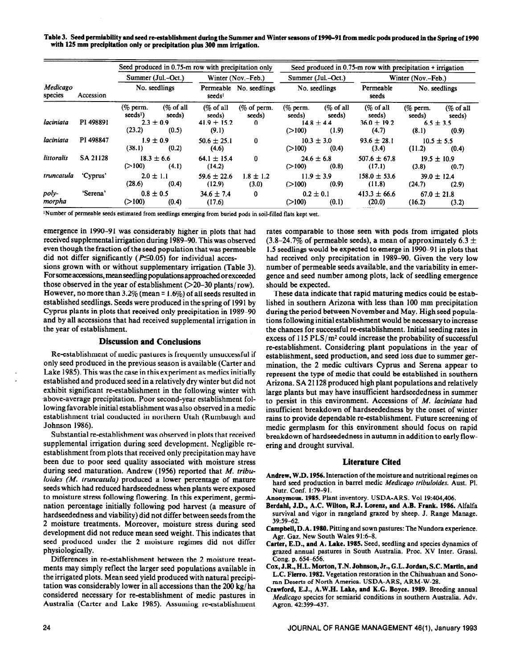Table 3. Seed permiability and seed re-establishment during the Summer and Winter seasons of 1990–91 from medic pods produced in the Spring of 1990 **with 125 mm precipitation only or precipitation plus 300 mm irrigation.** 

|                     |                        | Seed produced in 0.75-m row with precipitation only |                                 |                                         |                               | Seed produced in 0.75-m row with precipitation + irrigation |                                          |                                                   |                                    |                                      |  |
|---------------------|------------------------|-----------------------------------------------------|---------------------------------|-----------------------------------------|-------------------------------|-------------------------------------------------------------|------------------------------------------|---------------------------------------------------|------------------------------------|--------------------------------------|--|
|                     |                        | Summer (Jul.–Oct.)<br>No. seedlings                 |                                 |                                         | Winter (Nov.–Feb.)            |                                                             | Summer (Jul.–Oct.)                       | Winter (Nov.–Feb.)                                |                                    |                                      |  |
| Medicago<br>species | Accession<br>PI 498891 |                                                     |                                 | seeds <sup>1</sup>                      | Permeable No. seedlings       |                                                             | No. seedlings                            | Permeable<br>seeds                                | No. seedlings                      |                                      |  |
| laciniata           |                        | $(\%$ perm.<br>seeds <sup>1</sup><br>$2.3 \pm 0.9$  | $(\% \text{ of all})$<br>seeds) | (% of all)<br>seeds)<br>$41.9 \pm 15.2$ | $(\%$ of perm.<br>seeds)<br>0 | $(\%$ perm.<br>seeds)                                       | $(\%$ of all<br>seeds)<br>$14.8 \pm 4.4$ | $\frac{6}{6}$ of all<br>seeds)<br>$36.0 \pm 19.2$ | $(\%$ perm.<br>seeds)              | $(%$ of all<br>seeds)<br>$6.5 + 3.5$ |  |
|                     |                        | (23.2)                                              | (0.5)                           | (9.1)                                   |                               | (>100)                                                      | (1.9)                                    | (4.7)                                             | (8.1)                              | (0.9)                                |  |
| laciniata           | PI 498847              | $1.9 \pm 0.9$<br>(38.1)<br>(0.2)                    |                                 | $50.6 \pm 25.1$<br>(4.6)                | $\bf{0}$                      | $10.3 \pm 3.0$<br>(0.4)<br>(>100)                           |                                          | $93.6 \pm 28.1$<br>(3.4)                          | $10.5 \pm 5.5$<br>(11.2)<br>(0.4)  |                                      |  |
| littoralis          | SA 21128               | $18.3 \pm 6.6$<br>(>100)                            | (4.1)                           | $64.1 \pm 15.4$<br>(14.2)               | 0                             | $24.6 \pm 6.8$<br>(0.8)<br>(>100)                           |                                          | $507.6 \pm 67.8$<br>(17.1)                        | $19.5 \pm 10.9$<br>(3.8)<br>(0.7)  |                                      |  |
| truncatula          | 'Cyprus'               | $2.0 \pm 1.1$<br>(28.6)                             | (0.4)                           | $59.6 \pm 22.6$<br>(12.9)               | $1.8 \pm 1.2$<br>(3.0)        | (>100)                                                      | $11.9 \pm 3.9$<br>(0.9)                  | $158.0 \pm 53.6$<br>(11.8)                        | $39.0 \pm 12.4$<br>(24.7)<br>(2.9) |                                      |  |
| poly-<br>morpha     | 'Serena'               | $0.8 \pm 0.5$<br>(>100)<br>(0.4)                    |                                 | $34.6 \pm 7.4$<br>(17.6)                | $\bf{0}$                      | $0.2 \pm 0.1$<br>(0.1)<br>(>100)                            |                                          | $413.3 \pm 66.6$<br>(20.0)                        | $67.0 \pm 21.8$<br>(16.2)<br>(3.2) |                                      |  |

FJumber of permeable **seeds estimated from** seedlings emerging from buried pods in soil-filled flats kept wet.

emergence in 1990-91 was considerably higher in plots that had received supplemental irrigation during 1989-90. This was observed even though the fraction of the seed population that was permeable did not differ significantly ( $P \le 0.05$ ) for individual acces-

sions grown with or without supplementary irrigation (Table 3). For some accessions, mean seedling populations approached or exceeded those observed in the year of establishment  $(>=20-30 \text{ plants/row}).$ However, no more than 3.2% (mean = 1.6%) of all seeds resulted in established seedlings. Seeds were produced in the spring of 1991 by Cyprus plants in plots that received only precipitation in 1989-90 and by all accessions that had received supplemental irrigation in the year of establishment.

## **Discussion and Conclusions**

Re-establishment of medic pastures is frequently unsuccessful if only seed produced in the previous season is available (Carter and Lake 1985). This was the case in this experiment as medics initially established and produced seed in a relatively dry winter but did not exhibit significant re-establishment in the following winter with -above-average precipitation. Poor second-year establishment following favorable initial establishment was also observed in a medic establishment trial conducted in northern Utah (Rumbaugh and Johnson 1986).

Substantial re-establishment was observed in plots that received supplemental irrigation during seed development. Negligible reestablishment from plots that received only precipitation may have been due to poor seed quality associated with moisture stress during seed maturation. Andrew (1956) reported that M. tribu*loides (M. truncatula)* produced a lower percentage of mature seeds which had reduced hardseededness when plants were exposed to moisture stress following flowering. In this experiment, germination percentage initially following pod harvest (a measure of hardseededness and viability) did not differ between seeds from the 2 moisture treatments. Moreover, moisture stress during seed development did not reduce mean seed weight. This indicates that seed produced under the 2 moisture regimes did not differ physiologically.

Differences in re-establishment between the 2 moisture treatments may simply reflect the larger seed populations available in the irrigated plots. Mean seed yield produced with natural precipitation was considerably lower in all accessions than the 200 kg/ha considered necessary for re-establishment of medic pastures in Australia (Carter and Lake 1985). Assuming re-establishment

rates comparable to those seen with pods from irrigated plots  $(3.8-24.7\%$  of permeable seeds), a mean of approximately 6.3  $\pm$ 1.5 seedlings would be expected to emerge in 1990-91 in plots that had received only precipitation in 1989-90. Given the very low number of permeable seeds available, and the variability in emergence and seed number among plots, lack of seedling emergence should be expected.

These data indicate that rapid maturing medics could be established in southern Arizona with less than 100 mm precipitation during the period between November and May. High seed populations following initial establishment would be necessary to increase the chances for successful re-establishment. Initial seeding rates in excess of  $115$  PLS/m<sup>2</sup> could increase the probability of successful re-establishment. Considering plant populations in the year of establishment, seed production, and seed loss due to summer germination, the 2 medic cultivars Cyprus and Serena appear to represent the type of medic that could be established in southern Arizona. SA 21128 produced high plant populations and relatively large plants but may have insufficient hardseededness in summer to persist in this environment. Accessions of *M. laciniata* had insufficient breakdown of hardseededness by the onset of winter rains to provide dependable re-establishment. Future screening of medic germplasm for this environment should focus on rapid breakdown of hardseededness in autumn in addition to early flowering and drought survival.

### **Literature Cited**

- **Andrew, W.D. 1956. Interaction of the moisture and nutritional regimes on hard seed production in barrel medic** *Medicago tribuloides.* **Aust. Pl. Nutr. Conf. 1:79-91.**
- **Anonymous. 1985. Plant inventory. USDA-ARS. Vol 19:404,406.**
- **Berdahl, J.D., A.C. Wilton, R.J. Lorenz, and A.B. Frank. 1986. Alfalfa survival and vigor in rangeland grazed by sheep. J. Range Manage. 39:59-62.**
- **Campbell, D.A. 1980. Pitting and sown pastures: The Nundora experience. Agr. Gaz. New South Wales 91:6-S.**
- **Carter, E.D., and A. Lake. 1985. Seed, seedling and species dynamics of grazed annual pastures in South Australia. Proc. XV Inter. Grassl. Cong. p. 654-656.**
- **Cox,J.R.,H.L.Morton,T.N. Johnson,Jr.,G.L. Jordan,S.C.Martin,and L.C. Fierro. 1982. Vegetation restoration in the Chihuahuan and Sonoran Deserts of North** America. USDA-ARS, ARM-W-28.
- **Crawford, E.J., A.W.H. Lake, and K.G. Boyce. 1989.** Breeding annual *Medicago* species for semiarid conditions in southern Australia. Adv. Agron. 42:399-437.